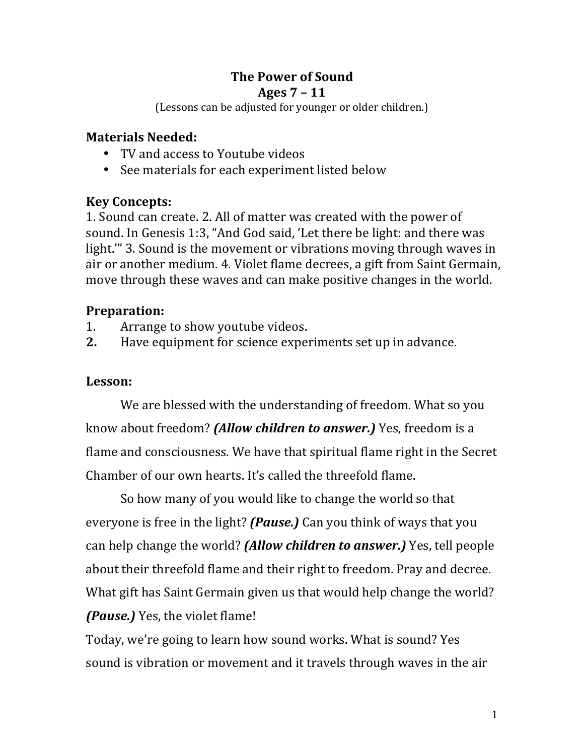# **The Power of Sound**

### **Ages 7 – 11**

(Lessons can be adjusted for younger or older children.)

### **Materials Needed:**

- TV and access to Youtube videos
- See materials for each experiment listed below

# **Key Concepts:**

1. Sound can create. 2. All of matter was created with the power of sound. In Genesis 1:3, "And God said, 'Let there be light: and there was light." 3. Sound is the movement or vibrations moving through waves in air or another medium. 4. Violet flame decrees, a gift from Saint Germain, move through these waves and can make positive changes in the world.

# **Preparation:**

- 1. Arrange to show youtube videos.
- **2.** Have equipment for science experiments set up in advance.

# **Lesson:**

We are blessed with the understanding of freedom. What so you know about freedom? *(Allow children to answer.)* Yes, freedom is a flame and consciousness. We have that spiritual flame right in the Secret Chamber of our own hearts. It's called the threefold flame.

So how many of you would like to change the world so that everyone is free in the light? *(Pause.)* Can you think of ways that you can help change the world? *(Allow children to answer.)* Yes, tell people about their threefold flame and their right to freedom. Pray and decree. What gift has Saint Germain given us that would help change the world? *(Pause.)* Yes, the violet flame!

Today, we're going to learn how sound works. What is sound? Yes sound is vibration or movement and it travels through waves in the air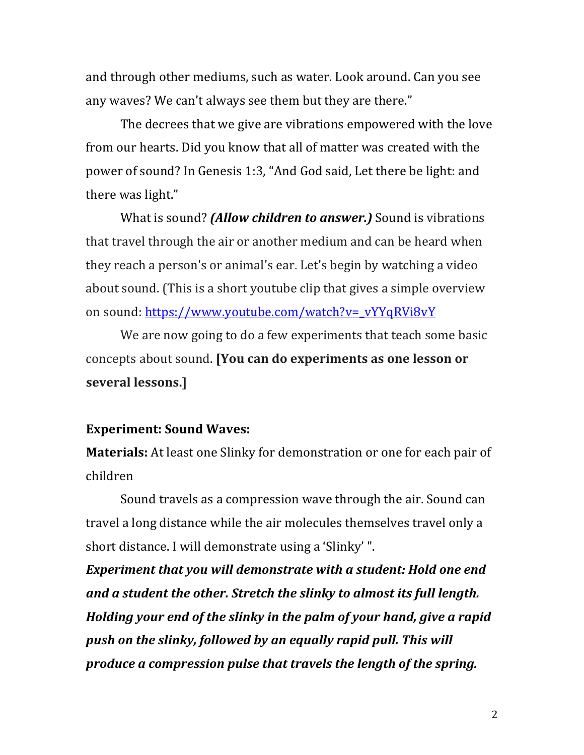and through other mediums, such as water. Look around. Can you see any waves? We can't always see them but they are there."

The decrees that we give are vibrations empowered with the love from our hearts. Did you know that all of matter was created with the power of sound? In Genesis 1:3, "And God said, Let there be light: and there was light."

What is sound? *(Allow children to answer.)* Sound is vibrations that travel through the air or another medium and can be heard when they reach a person's or animal's ear. Let's begin by watching a video about sound. (This is a short youtube clip that gives a simple overview on sound: https://www.youtube.com/watch?v=\_vYYqRVi8vY

We are now going to do a few experiments that teach some basic concepts about sound. **[You can do experiments as one lesson or several lessons.]**

#### **Experiment: Sound Waves:**

**Materials:** At least one Slinky for demonstration or one for each pair of children

Sound travels as a compression wave through the air. Sound can travel a long distance while the air molecules themselves travel only a short distance. I will demonstrate using a 'Slinky' ".

**Experiment that you will demonstrate with a student: Hold one end** and a student the other. Stretch the slinky to almost its full length. *Holding your end of the slinky in the palm of your hand, give a rapid* push on the slinky, followed by an equally rapid pull. This will *produce a compression pulse that travels the length of the spring.*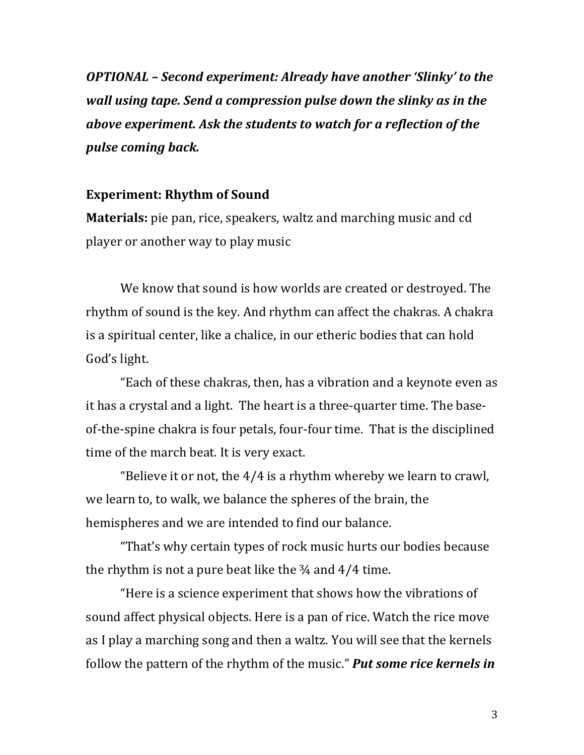*OPTIONAL* - Second experiment: Already have another 'Slinky' to the *wall using tape. Send a compression pulse down the slinky as in the above experiment. Ask the students to watch for a reflection of the pulse coming back.* 

#### **Experiment: Rhythm of Sound**

**Materials:** pie pan, rice, speakers, waltz and marching music and cd player or another way to play music

We know that sound is how worlds are created or destroyed. The rhythm of sound is the key. And rhythm can affect the chakras. A chakra is a spiritual center, like a chalice, in our etheric bodies that can hold God's light.

"Each of these chakras, then, has a vibration and a keynote even as it has a crystal and a light. The heart is a three-quarter time. The baseof-the-spine chakra is four petals, four-four time. That is the disciplined time of the march beat. It is very exact.

"Believe it or not, the  $4/4$  is a rhythm whereby we learn to crawl, we learn to, to walk, we balance the spheres of the brain, the hemispheres and we are intended to find our balance.

"That's why certain types of rock music hurts our bodies because the rhythm is not a pure beat like the  $\frac{3}{4}$  and  $\frac{4}{4}$  time.

"Here is a science experiment that shows how the vibrations of sound affect physical objects. Here is a pan of rice. Watch the rice move as I play a marching song and then a waltz. You will see that the kernels follow the pattern of the rhythm of the music." **Put some rice kernels in**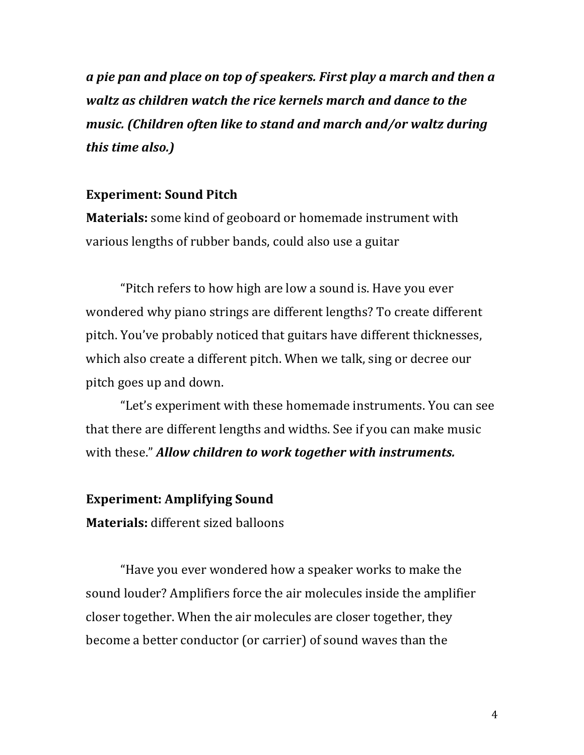*a* pie pan and place on top of speakers. First play a march and then a waltz as children watch the rice kernels march and dance to the *music.* (Children often like to stand and march and/or waltz during *this time also.*)

#### **Experiment: Sound Pitch**

**Materials:** some kind of geoboard or homemade instrument with various lengths of rubber bands, could also use a guitar

"Pitch refers to how high are low a sound is. Have you ever wondered why piano strings are different lengths? To create different pitch. You've probably noticed that guitars have different thicknesses, which also create a different pitch. When we talk, sing or decree our pitch goes up and down.

"Let's experiment with these homemade instruments. You can see that there are different lengths and widths. See if you can make music with these." **Allow children to work together with instruments.** 

### **Experiment: Amplifying Sound**

**Materials:** different sized balloons

"Have you ever wondered how a speaker works to make the sound louder? Amplifiers force the air molecules inside the amplifier closer together. When the air molecules are closer together, they become a better conductor (or carrier) of sound waves than the